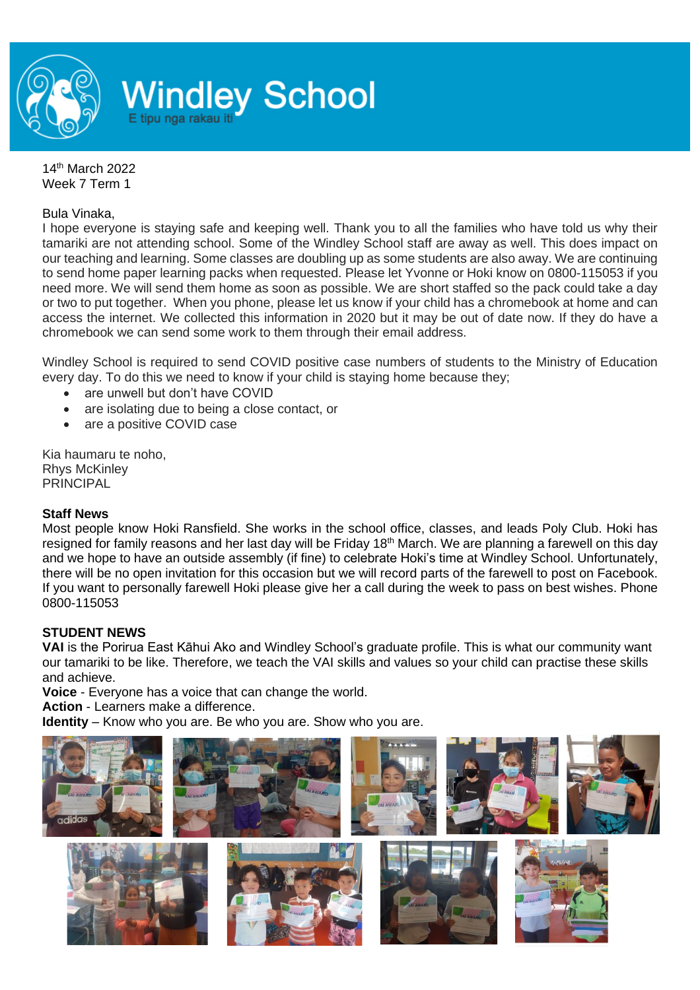

14 th March 2022 Week 7 Term 1

## Bula Vinaka,

I hope everyone is staying safe and keeping well. Thank you to all the families who have told us why their tamariki are not attending school. Some of the Windley School staff are away as well. This does impact on our teaching and learning. Some classes are doubling up as some students are also away. We are continuing to send home paper learning packs when requested. Please let Yvonne or Hoki know on 0800-115053 if you need more. We will send them home as soon as possible. We are short staffed so the pack could take a day or two to put together. When you phone, please let us know if your child has a chromebook at home and can access the internet. We collected this information in 2020 but it may be out of date now. If they do have a chromebook we can send some work to them through their email address.

Windley School is required to send COVID positive case numbers of students to the Ministry of Education every day. To do this we need to know if your child is staying home because they;

- are unwell but don't have COVID
- are isolating due to being a close contact, or
- are a positive COVID case

Kia haumaru te noho, Rhys McKinley PRINCIPAL

## **Staff News**

Most people know Hoki Ransfield. She works in the school office, classes, and leads Poly Club. Hoki has resigned for family reasons and her last day will be Friday 18<sup>th</sup> March. We are planning a farewell on this day and we hope to have an outside assembly (if fine) to celebrate Hoki's time at Windley School. Unfortunately, there will be no open invitation for this occasion but we will record parts of the farewell to post on Facebook. If you want to personally farewell Hoki please give her a call during the week to pass on best wishes. Phone 0800-115053

## **STUDENT NEWS**

**VAI** is the Porirua East Kāhui Ako and Windley School's graduate profile. This is what our community want our tamariki to be like. Therefore, we teach the VAI skills and values so your child can practise these skills and achieve.

**Voice** - Everyone has a voice that can change the world.

**Action** - Learners make a difference.

**Identity** – Know who you are. Be who you are. Show who you are.